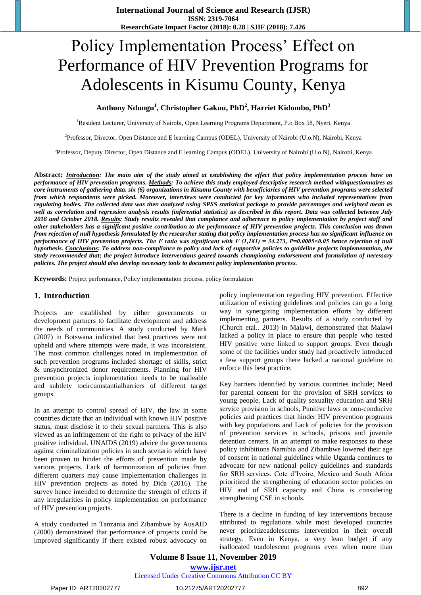# Policy Implementation Process' Effect on Performance of HIV Prevention Programs for Adolescents in Kisumu County, Kenya

## **Anthony Ndungu<sup>1</sup> , Christopher Gakuu, PhD<sup>2</sup> , Harriet Kidombo, PhD<sup>3</sup>**

<sup>1</sup>Resident Lecturer, University of Nairobi, Open Learning Programs Department, P.o Box 58, Nyeri, Kenya

2 Professor, Director, Open Distance and E learning Campus (ODEL), University of Nairobi (U.o.N), Nairobi, Kenya

<sup>3</sup>Professor, Deputy Director, Open Distance and E learning Campus (ODEL), University of Nairobi (U.o.N), Nairobi, Kenya

**Abstract:** *Introduction: The main aim of the study aimed at establishing the effect that policy implementation process have on performance of HIV prevention programs. Methods: To achieve this study employed descriptive research method withquestionnaires as core instruments of gathering data. six (6) organizations in Kisumu County with beneficiaries of HIV prevention programs were selected from which respondents were picked. Moreover, interviews were conducted for key informants who included representatives from regulating bodies. The collected data was then analyzed using SPSS statistical package to provide percentages and weighted mean as well as correlation and regression analysis results (inferential statistics) as described in this report. Data was collected between July 2018 and October 2018. Results: Study results revealed that compliance and adherence to policy implementation by project staff and other stakeholders has a significant positive contribution to the performance of HIV prevention projects. This conclusion was drawn from rejection of null hypothesis formulated by the researcher stating that policy implementation process has no significant influence on performance of HIV prevention projects. The F ratio was significant with F (1,181) = 34.273, P=0.0005˂0.05 hence rejection of null hypothesis. Conclusions: To address non-compliance to policy and lack of supportive policies to guideline projects implementation, the study recommended that; the project introduce interventions geared towards championing endorsement and formulation of necessary policies. The project should also develop necessary tools to document policy implementation process.*

**Keywords:** Project performance, Policy implementation process, policy formulation

#### **1. Introduction**

Projects are established by either governments or development partners to facilitate development and address the needs of communities. A study conducted by Mark (2007) in Botswana indicated that best practices were not upheld and where attempts were made, it was inconsistent. The most common challenges noted in implementation of such prevention programs included shortage of skills, strict & unsynchronized donor requirements. Planning for HIV prevention projects implementation needs to be malleable and subtlety tocircumstantialbarriers of different target groups.

In an attempt to control spread of HIV, the law in some countries dictate that an individual with known HIV positive status, must disclose it to their sexual partners. This is also viewed as an infringement of the right to privacy of the HIV positive individual. UNAIDS (2019) advice the governments against criminalization policies in such scenario which have been proven to hinder the efforts of prevention made by various projects. Lack of harmonization of policies from different quarters may cause implementation challenges in HIV prevention projects as noted by Dida (2016). The survey hence intended to determine the strength of effects if any irregularities in policy implementation on performance of HIV prevention projects.

A study conducted in Tanzania and Zibambwe by AusAID (2000) demonstrated that performance of projects could be improved significantly if there existed robust advocacy on

policy implementation regarding HIV prevention. Effective utilization of existing guidelines and policies can go a long way in synergizing implementation efforts by different implementing partners. Results of a study conducted by (Church etal.. 2013) in Malawi, demonstrated that Malawi lacked a policy in place to ensure that people who tested HIV positive were linked to support groups. Even though some of the facilities under study had proactively introduced a few support groups there lacked a national guideline to enforce this best practice.

Key barriers identified by various countries include; Need for parental consent for the provision of SRH services to young people, Lack of quality sexuality education and SRH service provision in schools, Punitive laws or non-conducive policies and practices that hinder HIV prevention programs with key populations and Lack of policies for the provision of prevention services in schools, prisons and juvenile detention centers. In an attempt to make responses to these policy inhibitions Namibia and Zibambwe lowered their age of consent in national guidelines while Uganda continues to advocate for new national policy guidelines and standards for SRH services. Cote d"Ivoire, Mexico and South Africa prioritized the strengthening of education sector policies on HIV and of SRH capacity and China is considering strengthening CSE in schools.

There is a decline in funding of key interventions because attributed to regulations while most developed countries never prioritizeadolescents intervention in their overall strategy. Even in Kenya, a very lean budget if any isallocated toadolescent programs even when more than

**Volume 8 Issue 11, November 2019 www.ijsr.net** Licensed Under Creative Commons Attribution CC BY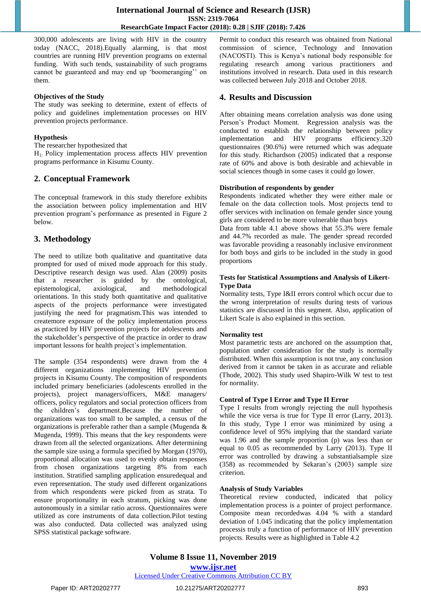300,000 adolescents are living with HIV in the country today (NACC, 2018).Equally alarming, is that most countries are running HIV prevention programs on external funding. With such tends, sustainability of such programs cannot be guaranteed and may end up 'boomeranging'' on them.

#### **Objectives of the Study**

The study was seeking to determine, extent of effects of policy and guidelines implementation processes on HIV prevention projects performance.

### **Hypothesis**

The researcher hypothesized that

 $H<sub>1</sub>$ : Policy implementation process affects HIV prevention programs performance in Kisumu County.

# **2. Conceptual Framework**

The conceptual framework in this study therefore exhibits the association between policy implementation and HIV prevention program"s performance as presented in Figure 2 below.

# **3. Methodology**

The need to utilize both qualitative and quantitative data prompted for used of mixed mode approach for this study. Descriptive research design was used. Alan (2009) posits that a researcher is guided by the ontological, epistemological, axiological, and methodological orientations. In this study both quantitative and qualitative aspects of the projects performance were investigated justifying the need for pragmatism.This was intended to createmore exposure of the policy implementation process as practiced by HIV prevention projects for adolescents and the stakeholder"s perspective of the practice in order to draw important lessons for health project's implementation.

The sample (354 respondents) were drawn from the 4 different organizations implementing HIV prevention projects in Kisumu County. The composition of respondents included primary beneficiaries (adolescents enrolled in the projects), project managers/officers, M&E managers/ officers, policy regulators and social protection officers from the children"s department.Because the number of organizations was too small to be sampled, a census of the organizations is preferable rather than a sample (Mugenda & Mugenda, 1999). This means that the key respondents were drawn from all the selected organizations. After determining the sample size using a formula specified by Morgan (1970), proportional allocation was used to evenly obtain responses from chosen organizations targeting 8% from each institution. Stratified sampling application ensuredequal and even representation. The study used different organizations from which respondents were picked from as strata. To ensure proportionality in each stratum, picking was done autonomously in a similar ratio across. Questionnaires were utilized as core instruments of data collection.Pilot testing was also conducted. Data collected was analyzed using SPSS statistical package software.

Permit to conduct this research was obtained from National commission of science, Technology and Innovation (NACOSTI). This is Kenya"s national body responsible for regulating research among various practitioners and institutions involved in research. Data used in this research was collected between July 2018 and October 2018.

# **4. Results and Discussion**

After obtaining means correlation analysis was done using Person"s Product Moment. Regression analysis was the conducted to establish the relationship between policy implementation and HIV programs efficiency.320 questionnaires (90.6%) were returned which was adequate for this study. Richardson (2005) indicated that a response rate of 60% and above is both desirable and achievable in social sciences though in some cases it could go lower.

#### **Distribution of respondents by gender**

Respondents indicated whether they were either male or female on the data collection tools. Most projects tend to offer services with inclination on female gender since young girls are considered to be more vulnerable than boys

Data from table 4.1 above shows that 55.3% were female and 44.7% recorded as male. The gender spread recorded was favorable providing a reasonably inclusive environment for both boys and girls to be included in the study in good proportions

#### **Tests for Statistical Assumptions and Analysis of Likert-Type Data**

Normality tests, Type I&II errors control which occur due to the wrong interpretation of results during tests of various statistics are discussed in this segment. Also, application of Likert Scale is also explained in this section.

#### **Normality test**

Most parametric tests are anchored on the assumption that, population under consideration for the study is normally distributed. When this assumption is not true, any conclusion derived from it cannot be taken in as accurate and reliable (Thode, 2002). This study used Shapiro-Wilk W test to test for normality.

#### **Control of Type I Error and Type II Error**

Type I results from wrongly rejecting the null hypothesis while the vice versa is true for Type II error (Larry, 2013). In this study, Type I error was minimized by using a confidence level of 95% implying that the standard variate was 1.96 and the sample proportion (p) was less than or equal to 0.05 as recommended by Larry (2013). Type II error was controlled by drawing a substantialsample size (358) as recommended by Sekaran"s (2003) sample size criterion.

#### **Analysis of Study Variables**

Theoretical review conducted, indicated that policy implementation process is a pointer of project performance. Composite mean recordedwas 4.04 % with a standard deviation of 1.045 indicating that the policy implementation processis truly a function of performance of HIV prevention projects. Results were as highlighted in Table 4.2

**Volume 8 Issue 11, November 2019 www.ijsr.net** Licensed Under Creative Commons Attribution CC BY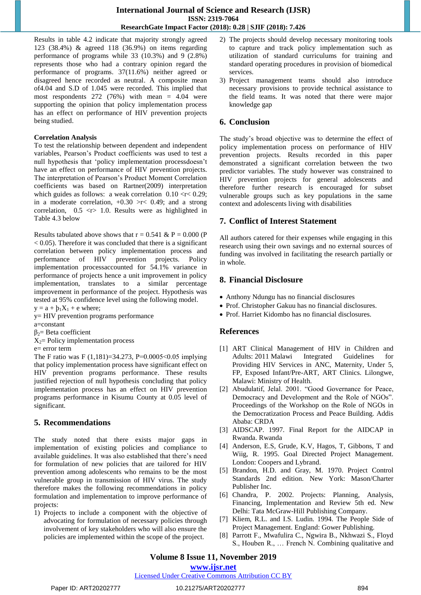Results in table 4.2 indicate that majority strongly agreed 123 (38.4%) & agreed 118 (36.9%) on items regarding performance of programs while 33 (10.3%) and 9 (2.8%) represents those who had a contrary opinion regard the performance of programs. 37(11.6%) neither agreed or disagreed hence recorded as neutral. A composite mean of4.04 and S.D of 1.045 were recorded. This implied that most respondents  $272$  (76%) with mean = 4.04 were supporting the opinion that policy implementation process has an effect on performance of HIV prevention projects being studied.

#### **Correlation Analysis**

To test the relationship between dependent and independent variables, Pearson"s Product coefficients was used to test a null hypothesis that "policy implementation processdoesn"t have an effect on performance of HIV prevention projects. The interpretation of Pearson"s Product Moment Correlation coefficients was based on Rartner(2009) interpretation which guides as follows: a weak correlation  $0.10 \le r \le 0.29$ ; in a moderate correlation,  $+0.30$  >r< 0.49; and a strong correlation,  $0.5 \leq r$  1.0. Results were as highlighted in Table 4.3 below

Results tabulated above shows that  $r = 0.541 \& P = 0.000$  (P  $< 0.05$ ). Therefore it was concluded that there is a significant correlation between policy implementation process and performance of HIV prevention projects. Policy implementation processaccounted for 54.1% variance in performance of projects hence a unit improvement in policy implementation, translates to a similar percentage improvement in performance of the project. Hypothesis was tested at 95% confidence level using the following model.

 $y = a + b_1X_1 + e$  where;

- y= HIV prevention programs performance
- a=constant
- $β<sub>2</sub>=$  Beta coefficient
- $X_2$ = Policy implementation process

e= error term

The F ratio was F (1,181)=34.273, P=0.0005˂0.05 implying that policy implementation process have significant effect on HIV prevention programs performance. These results justified rejection of null hypothesis concluding that policy implementation process has an effect on HIV prevention programs performance in Kisumu County at 0.05 level of significant.

# **5. Recommendations**

The study noted that there exists major gaps in implementation of existing policies and compliance to available guidelines. It was also established that there"s need for formulation of new policies that are tailored for HIV prevention among adolescents who remains to be the most vulnerable group in transmission of HIV virus. The study therefore makes the following recommendations in policy formulation and implementation to improve performance of projects:

1) Projects to include a component with the objective of advocating for formulation of necessary policies through involvement of key stakeholders who will also ensure the policies are implemented within the scope of the project.

- 2) The projects should develop necessary monitoring tools to capture and track policy implementation such as utilization of standard curriculums for training and standard operating procedures in provision of biomedical services.
- 3) Project management teams should also introduce necessary provisions to provide technical assistance to the field teams. It was noted that there were major knowledge gap

# **6. Conclusion**

The study"s broad objective was to determine the effect of policy implementation process on performance of HIV prevention projects. Results recorded in this paper demonstrated a significant correlation between the two predictor variables. The study however was constrained to HIV prevention projects for general adolescents and therefore further research is encouraged for subset vulnerable groups such as key populations in the same context and adolescents living with disabilities

# **7. Conflict of Interest Statement**

All authors catered for their expenses while engaging in this research using their own savings and no external sources of funding was involved in facilitating the research partially or in whole.

# **8. Financial Disclosure**

- Anthony Ndungu has no financial disclosures
- Prof. Christopher Gakuu has no financial disclosures.
- Prof. Harriet Kidombo has no financial disclosures.

# **References**

- [1] ART Clinical Management of HIV in Children and Adults: 2011 Malawi Integrated Guidelines for Providing HIV Services in ANC, Maternity, Under 5, FP, Exposed Infant/Pre-ART, ART Clinics. Lilongwe, Malawi: Ministry of Health.
- [2] Abudulatif, Jelal. 2001. "Good Governance for Peace, Democracy and Development and the Role of NGOs". Proceedings of the Workshop on the Role of NGOs in the Democratization Process and Peace Building. Addis Ababa: CRDA
- [3] AIDSCAP. 1997. Final Report for the AIDCAP in Rwanda. Rwanda
- [4] Anderson, E.S, Grude, K.V, Hagos, T, Gibbons, T and Wiig, R. 1995. Goal Directed Project Management. London: Coopers and Lybrand.
- [5] Brandon, H.D. and Gray, M. 1970. Project Control Standards 2nd edition. New York: Mason/Charter Publisher Inc.
- [6] Chandra, P. 2002. Projects: Planning, Analysis, Financing, Implementation and Review 5th ed. New Delhi: Tata McGraw-Hill Publishing Company.
- [7] Kliem, R.L. and I.S. Ludin. 1994. The People Side of Project Management. England: Gower Publishing.
- [8] Parrott F., Mwafulira C., Ngwira B., Nkhwazi S., Floyd S., Houben R., … French N. Combining qualitative and

# **Volume 8 Issue 11, November 2019**

**www.ijsr.net**

Licensed Under Creative Commons Attribution CC BY